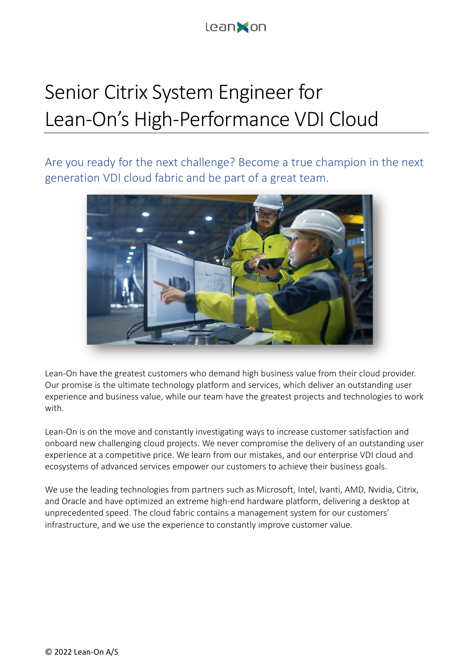

## Senior Citrix System Engineer for Lean-On's High-Performance VDI Cloud

Are you ready for the next challenge? Become a true champion in the next generation VDI cloud fabric and be part of a great team.



Lean-On have the greatest customers who demand high business value from their cloud provider. Our promise is the ultimate technology platform and services, which deliver an outstanding user experience and business value, while our team have the greatest projects and technologies to work with.

Lean-On is on the move and constantly investigating ways to increase customer satisfaction and onboard new challenging cloud projects. We never compromise the delivery of an outstanding user experience at a competitive price. We learn from our mistakes, and our enterprise VDI cloud and ecosystems of advanced services empower our customers to achieve their business goals.

We use the leading technologies from partners such as Microsoft, Intel, Ivanti, AMD, Nvidia, Citrix, and Oracle and have optimized an extreme high-end hardware platform, delivering a desktop at unprecedented speed. The cloud fabric contains a management system for our customers' infrastructure, and we use the experience to constantly improve customer value.